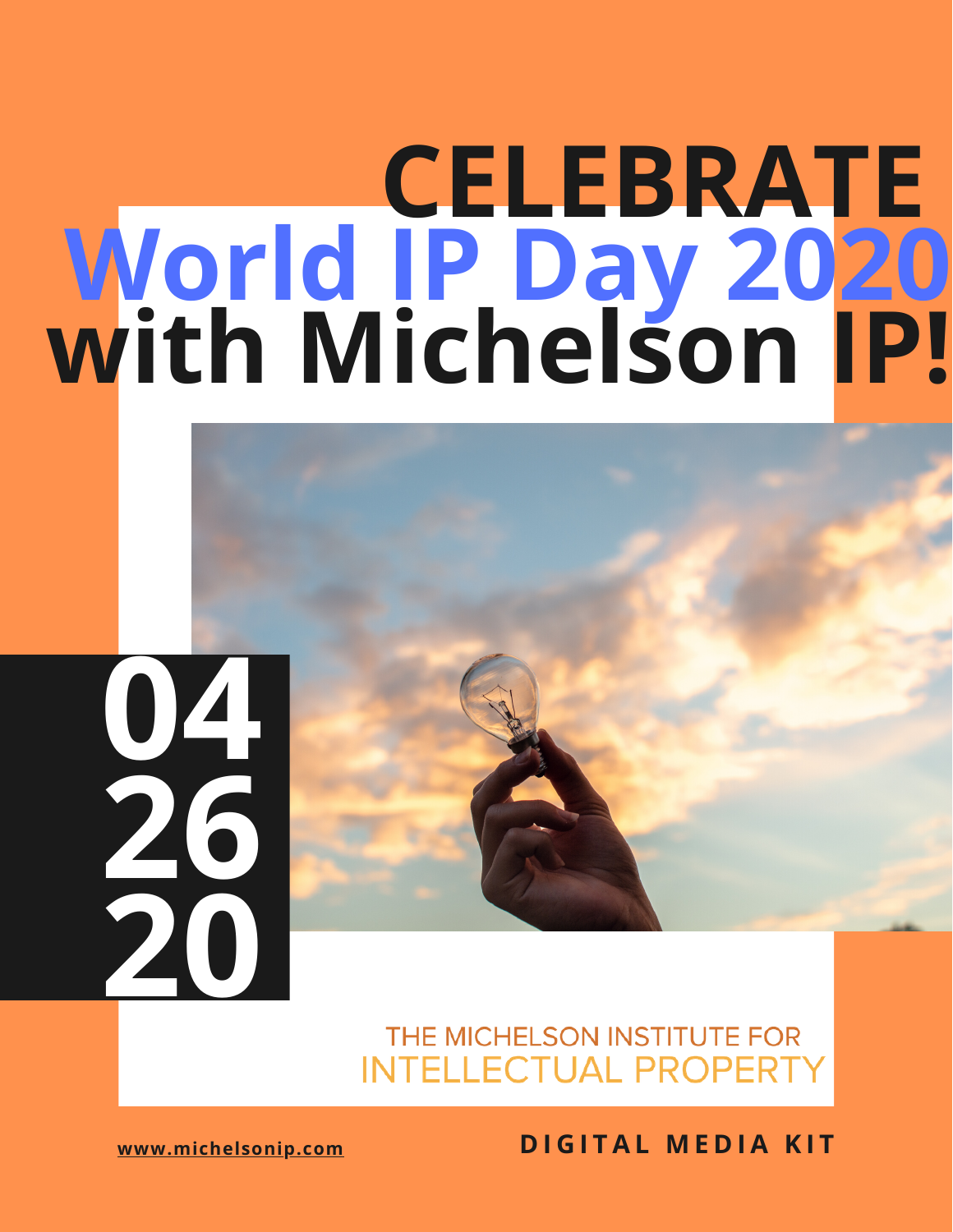### **CELEBRATE World IP Day 2020 with Michelson IP!**

# **04 26 20**

### THE MICHELSON INSTITUTE FOR **INTELLECTUAL PROPERT**

**[www.michelsonip.com](http://michelsonip.com/) D I G I T A L [M](https://drive.google.com/file/d/1QXuqR__xlhzigR20u1rAoZYXCxdNGnKj/view?usp=sharing) E D I A K I T**